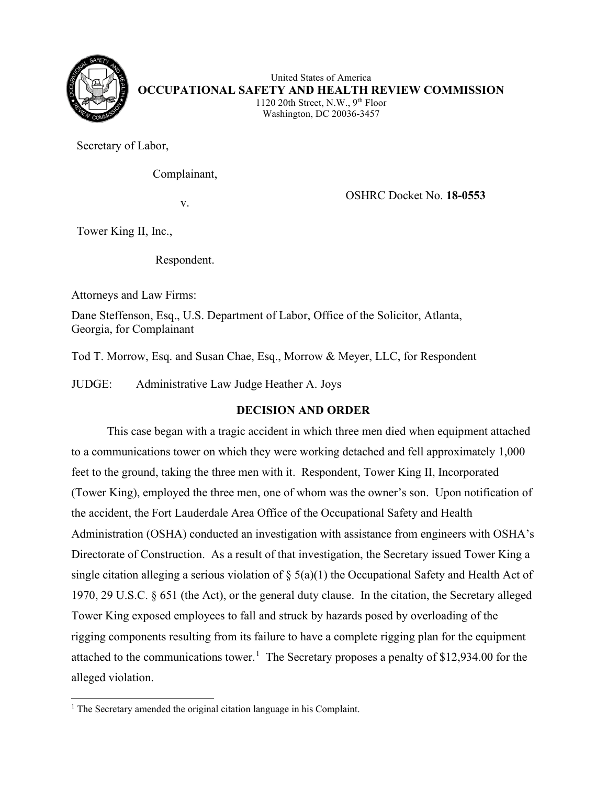

United States of America **OCCUPATIONAL SAFETY AND HEALTH REVIEW COMMISSION** 1120 20th Street, N.W.,  $9<sup>th</sup>$  Floor Washington, DC 20036-3457

Secretary of Labor,

Complainant,

v. OSHRC Docket No. **18-0553**

Tower King II, Inc.,

Respondent.

Attorneys and Law Firms:

Dane Steffenson, Esq., U.S. Department of Labor, Office of the Solicitor, Atlanta, Georgia, for Complainant

Tod T. Morrow, Esq. and Susan Chae, Esq., Morrow & Meyer, LLC, for Respondent

JUDGE: Administrative Law Judge Heather A. Joys

# **DECISION AND ORDER**

This case began with a tragic accident in which three men died when equipment attached to a communications tower on which they were working detached and fell approximately 1,000 feet to the ground, taking the three men with it. Respondent, Tower King II, Incorporated (Tower King), employed the three men, one of whom was the owner's son. Upon notification of the accident, the Fort Lauderdale Area Office of the Occupational Safety and Health Administration (OSHA) conducted an investigation with assistance from engineers with OSHA's Directorate of Construction. As a result of that investigation, the Secretary issued Tower King a single citation alleging a serious violation of  $\S$  5(a)(1) the Occupational Safety and Health Act of 1970, 29 U.S.C. § 651 (the Act), or the general duty clause. In the citation, the Secretary alleged Tower King exposed employees to fall and struck by hazards posed by overloading of the rigging components resulting from its failure to have a complete rigging plan for the equipment attached to the communications tower.<sup>[1](#page-0-0)</sup> The Secretary proposes a penalty of \$12,934.00 for the alleged violation.

<span id="page-0-0"></span> $<sup>1</sup>$  The Secretary amended the original citation language in his Complaint.</sup>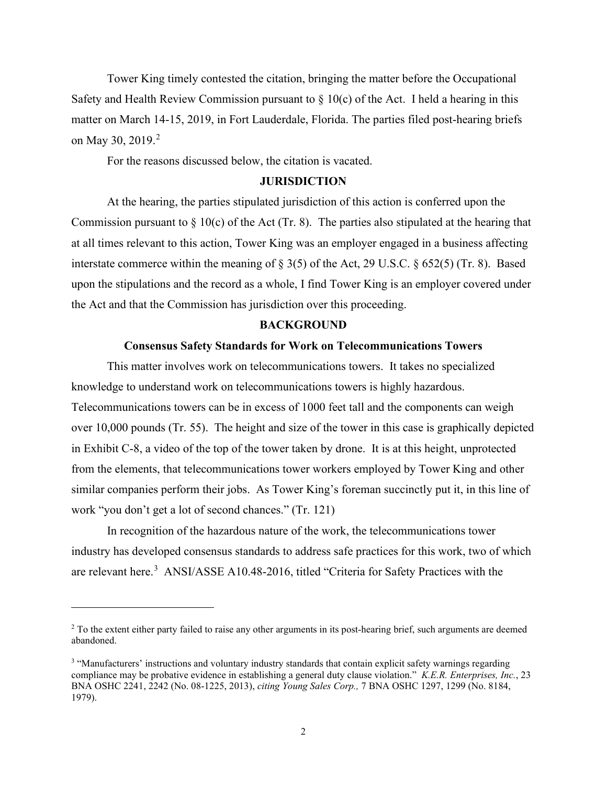Tower King timely contested the citation, bringing the matter before the Occupational Safety and Health Review Commission pursuant to  $\S$  10(c) of the Act. I held a hearing in this matter on March 14-15, 2019, in Fort Lauderdale, Florida. The parties filed post-hearing briefs on May 30, [2](#page-1-0)019.<sup>2</sup>

For the reasons discussed below, the citation is vacated.

#### **JURISDICTION**

At the hearing, the parties stipulated jurisdiction of this action is conferred upon the Commission pursuant to  $\S$  10(c) of the Act (Tr. 8). The parties also stipulated at the hearing that at all times relevant to this action, Tower King was an employer engaged in a business affecting interstate commerce within the meaning of § 3(5) of the Act, 29 U.S.C. § 652(5) (Tr. 8). Based upon the stipulations and the record as a whole, I find Tower King is an employer covered under the Act and that the Commission has jurisdiction over this proceeding.

#### **BACKGROUND**

### **Consensus Safety Standards for Work on Telecommunications Towers**

This matter involves work on telecommunications towers. It takes no specialized knowledge to understand work on telecommunications towers is highly hazardous. Telecommunications towers can be in excess of 1000 feet tall and the components can weigh over 10,000 pounds (Tr. 55). The height and size of the tower in this case is graphically depicted in Exhibit C-8, a video of the top of the tower taken by drone. It is at this height, unprotected from the elements, that telecommunications tower workers employed by Tower King and other similar companies perform their jobs. As Tower King's foreman succinctly put it, in this line of work "you don't get a lot of second chances." (Tr. 121)

 In recognition of the hazardous nature of the work, the telecommunications tower industry has developed consensus standards to address safe practices for this work, two of which are relevant here.<sup>[3](#page-1-1)</sup> ANSI/ASSE A10.48-2016, titled "Criteria for Safety Practices with the

<span id="page-1-0"></span><sup>&</sup>lt;sup>2</sup> To the extent either party failed to raise any other arguments in its post-hearing brief, such arguments are deemed abandoned.

<span id="page-1-1"></span><sup>&</sup>lt;sup>3</sup> "Manufacturers' instructions and voluntary industry standards that contain explicit safety warnings regarding compliance may be probative evidence in establishing a general duty clause violation." *K.E.R. Enterprises, Inc.*, 23 BNA OSHC 2241, 2242 (No. 08-1225, 2013), *citing Young Sales Corp.,* 7 BNA OSHC 1297, 1299 (No. 8184, 1979).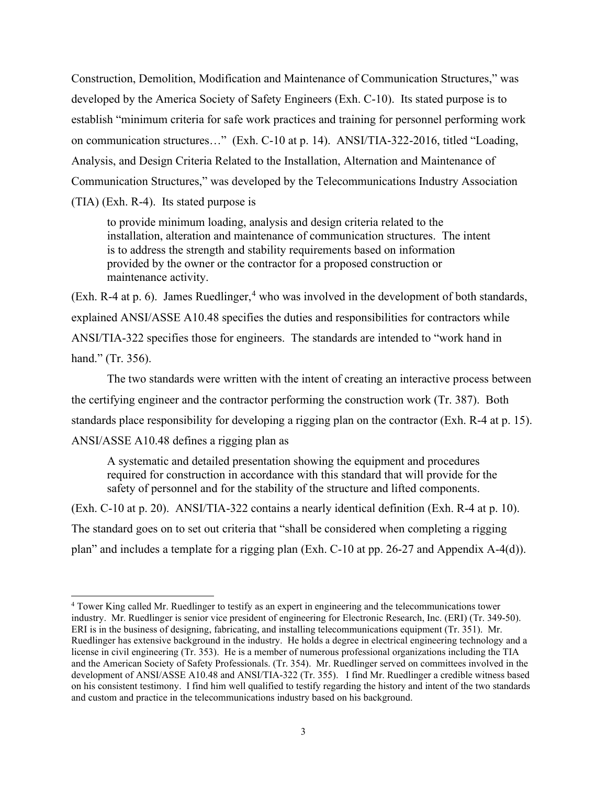Construction, Demolition, Modification and Maintenance of Communication Structures," was developed by the America Society of Safety Engineers (Exh. C-10). Its stated purpose is to establish "minimum criteria for safe work practices and training for personnel performing work on communication structures…" (Exh. C-10 at p. 14). ANSI/TIA-322-2016, titled "Loading, Analysis, and Design Criteria Related to the Installation, Alternation and Maintenance of Communication Structures," was developed by the Telecommunications Industry Association (TIA) (Exh. R-4). Its stated purpose is

to provide minimum loading, analysis and design criteria related to the installation, alteration and maintenance of communication structures. The intent is to address the strength and stability requirements based on information provided by the owner or the contractor for a proposed construction or maintenance activity.

(Exh. R-[4](#page-2-0) at p. 6). James Ruedlinger,<sup>4</sup> who was involved in the development of both standards, explained ANSI/ASSE A10.48 specifies the duties and responsibilities for contractors while ANSI/TIA-322 specifies those for engineers. The standards are intended to "work hand in hand." (Tr. 356).

The two standards were written with the intent of creating an interactive process between the certifying engineer and the contractor performing the construction work (Tr. 387). Both standards place responsibility for developing a rigging plan on the contractor (Exh. R-4 at p. 15). ANSI/ASSE A10.48 defines a rigging plan as

A systematic and detailed presentation showing the equipment and procedures required for construction in accordance with this standard that will provide for the safety of personnel and for the stability of the structure and lifted components.

(Exh. C-10 at p. 20). ANSI/TIA-322 contains a nearly identical definition (Exh. R-4 at p. 10). The standard goes on to set out criteria that "shall be considered when completing a rigging plan" and includes a template for a rigging plan (Exh. C-10 at pp. 26-27 and Appendix A-4(d)).

<span id="page-2-0"></span><sup>&</sup>lt;sup>4</sup> Tower King called Mr. Ruedlinger to testify as an expert in engineering and the telecommunications tower industry. Mr. Ruedlinger is senior vice president of engineering for Electronic Research, Inc. (ERI) (Tr. 349-50). ERI is in the business of designing, fabricating, and installing telecommunications equipment (Tr. 351). Mr. Ruedlinger has extensive background in the industry. He holds a degree in electrical engineering technology and a license in civil engineering (Tr. 353). He is a member of numerous professional organizations including the TIA and the American Society of Safety Professionals. (Tr. 354). Mr. Ruedlinger served on committees involved in the development of ANSI/ASSE A10.48 and ANSI/TIA-322 (Tr. 355). I find Mr. Ruedlinger a credible witness based on his consistent testimony. I find him well qualified to testify regarding the history and intent of the two standards and custom and practice in the telecommunications industry based on his background.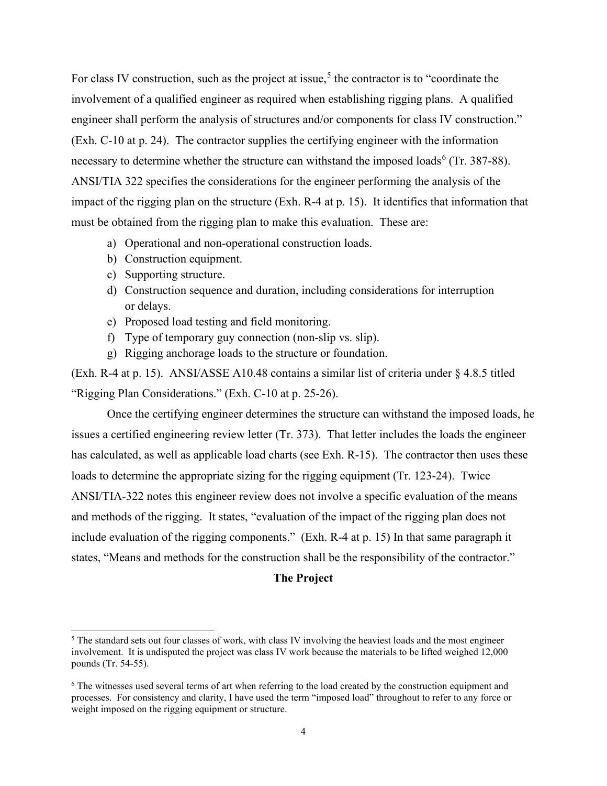For class IV construction, such as the project at issue,<sup>[5](#page-3-0)</sup> the contractor is to "coordinate the involvement of a qualified engineer as required when establishing rigging plans. A qualified engineer shall perform the analysis of structures and/or components for class IV construction." (Exh. C-10 at p. 24). The contractor supplies the certifying engineer with the information necessary to determine whether the structure can withstand the imposed loads<sup>[6](#page-3-1)</sup> (Tr. 387-88). ANSI/TIA 322 specifies the considerations for the engineer performing the analysis of the impact of the rigging plan on the structure (Exh. R-4 at p. 15). It identifies that information that must be obtained from the rigging plan to make this evaluation. These are:

- a) Operational and non-operational construction loads.
- b) Construction equipment.
- c) Supporting structure.
- d) Construction sequence and duration, including considerations for interruption or delays.
- e) Proposed load testing and field monitoring.
- f) Type of temporary guy connection (non-slip vs. slip).
- g) Rigging anchorage loads to the structure or foundation.

(Exh. R-4 at p. 15). ANSI/ASSE A10.48 contains a similar list of criteria under § 4.8.5 titled "Rigging Plan Considerations." (Exh. C-10 at p. 25-26).

 Once the certifying engineer determines the structure can withstand the imposed loads, he issues a certified engineering review letter (Tr. 373). That letter includes the loads the engineer has calculated, as well as applicable load charts (see Exh. R-15). The contractor then uses these loads to determine the appropriate sizing for the rigging equipment (Tr. 123-24). Twice ANSI/TIA-322 notes this engineer review does not involve a specific evaluation of the means and methods of the rigging. It states, "evaluation of the impact of the rigging plan does not include evaluation of the rigging components." (Exh. R-4 at p. 15) In that same paragraph it states, "Means and methods for the construction shall be the responsibility of the contractor."

## **The Project**

<span id="page-3-0"></span><sup>&</sup>lt;sup>5</sup> The standard sets out four classes of work, with class IV involving the heaviest loads and the most engineer involvement. It is undisputed the project was class IV work because the materials to be lifted weighed 12,000 pounds (Tr. 54-55).

<span id="page-3-1"></span><sup>6</sup> The witnesses used several terms of art when referring to the load created by the construction equipment and processes. For consistency and clarity, I have used the term "imposed load" throughout to refer to any force or weight imposed on the rigging equipment or structure.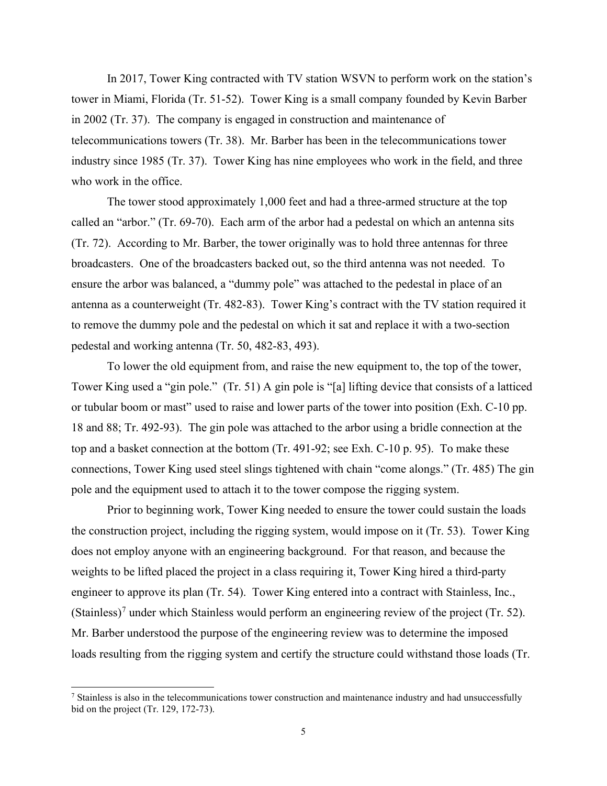In 2017, Tower King contracted with TV station WSVN to perform work on the station's tower in Miami, Florida (Tr. 51-52). Tower King is a small company founded by Kevin Barber in 2002 (Tr. 37). The company is engaged in construction and maintenance of telecommunications towers (Tr. 38). Mr. Barber has been in the telecommunications tower industry since 1985 (Tr. 37). Tower King has nine employees who work in the field, and three who work in the office.

The tower stood approximately 1,000 feet and had a three-armed structure at the top called an "arbor." (Tr. 69-70). Each arm of the arbor had a pedestal on which an antenna sits (Tr. 72). According to Mr. Barber, the tower originally was to hold three antennas for three broadcasters. One of the broadcasters backed out, so the third antenna was not needed. To ensure the arbor was balanced, a "dummy pole" was attached to the pedestal in place of an antenna as a counterweight (Tr. 482-83). Tower King's contract with the TV station required it to remove the dummy pole and the pedestal on which it sat and replace it with a two-section pedestal and working antenna (Tr. 50, 482-83, 493).

 To lower the old equipment from, and raise the new equipment to, the top of the tower, Tower King used a "gin pole." (Tr. 51) A gin pole is "[a] lifting device that consists of a latticed or tubular boom or mast" used to raise and lower parts of the tower into position (Exh. C-10 pp. 18 and 88; Tr. 492-93). The gin pole was attached to the arbor using a bridle connection at the top and a basket connection at the bottom (Tr. 491-92; see Exh. C-10 p. 95). To make these connections, Tower King used steel slings tightened with chain "come alongs." (Tr. 485) The gin pole and the equipment used to attach it to the tower compose the rigging system.

Prior to beginning work, Tower King needed to ensure the tower could sustain the loads the construction project, including the rigging system, would impose on it (Tr. 53). Tower King does not employ anyone with an engineering background. For that reason, and because the weights to be lifted placed the project in a class requiring it, Tower King hired a third-party engineer to approve its plan (Tr. 54). Tower King entered into a contract with Stainless, Inc., (Stainless)<sup>[7](#page-4-0)</sup> under which Stainless would perform an engineering review of the project (Tr. 52). Mr. Barber understood the purpose of the engineering review was to determine the imposed loads resulting from the rigging system and certify the structure could withstand those loads (Tr.

<span id="page-4-0"></span><sup>&</sup>lt;sup>7</sup> Stainless is also in the telecommunications tower construction and maintenance industry and had unsuccessfully bid on the project (Tr. 129, 172-73).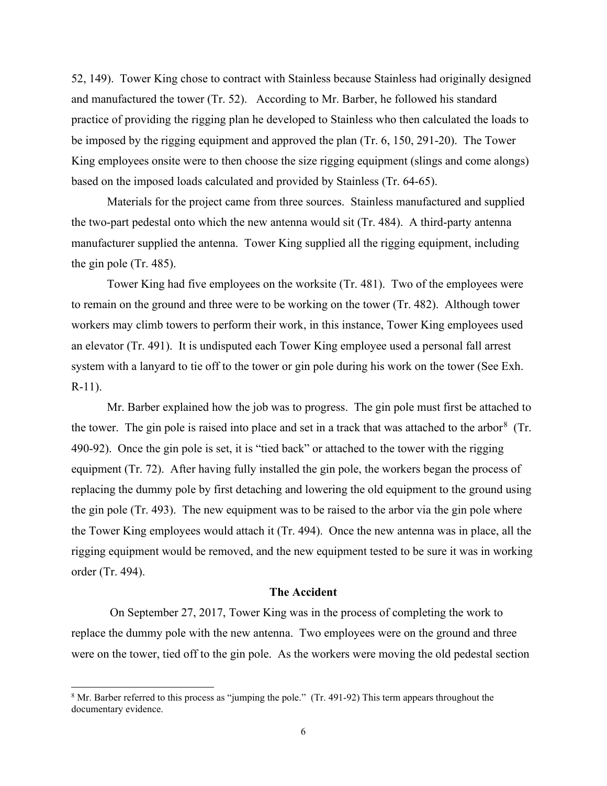52, 149). Tower King chose to contract with Stainless because Stainless had originally designed and manufactured the tower (Tr. 52). According to Mr. Barber, he followed his standard practice of providing the rigging plan he developed to Stainless who then calculated the loads to be imposed by the rigging equipment and approved the plan (Tr. 6, 150, 291-20). The Tower King employees onsite were to then choose the size rigging equipment (slings and come alongs) based on the imposed loads calculated and provided by Stainless (Tr. 64-65).

Materials for the project came from three sources. Stainless manufactured and supplied the two-part pedestal onto which the new antenna would sit (Tr. 484). A third-party antenna manufacturer supplied the antenna. Tower King supplied all the rigging equipment, including the gin pole (Tr. 485).

Tower King had five employees on the worksite (Tr. 481). Two of the employees were to remain on the ground and three were to be working on the tower (Tr. 482). Although tower workers may climb towers to perform their work, in this instance, Tower King employees used an elevator (Tr. 491). It is undisputed each Tower King employee used a personal fall arrest system with a lanyard to tie off to the tower or gin pole during his work on the tower (See Exh. R-11).

Mr. Barber explained how the job was to progress. The gin pole must first be attached to the tower. The gin pole is raised into place and set in a track that was attached to the arbor<sup>[8](#page-5-0)</sup> (Tr. 490-92). Once the gin pole is set, it is "tied back" or attached to the tower with the rigging equipment (Tr. 72). After having fully installed the gin pole, the workers began the process of replacing the dummy pole by first detaching and lowering the old equipment to the ground using the gin pole (Tr. 493). The new equipment was to be raised to the arbor via the gin pole where the Tower King employees would attach it (Tr. 494). Once the new antenna was in place, all the rigging equipment would be removed, and the new equipment tested to be sure it was in working order (Tr. 494).

# **The Accident**

 On September 27, 2017, Tower King was in the process of completing the work to replace the dummy pole with the new antenna. Two employees were on the ground and three were on the tower, tied off to the gin pole. As the workers were moving the old pedestal section

<span id="page-5-0"></span><sup>&</sup>lt;sup>8</sup> Mr. Barber referred to this process as "jumping the pole." (Tr. 491-92) This term appears throughout the documentary evidence.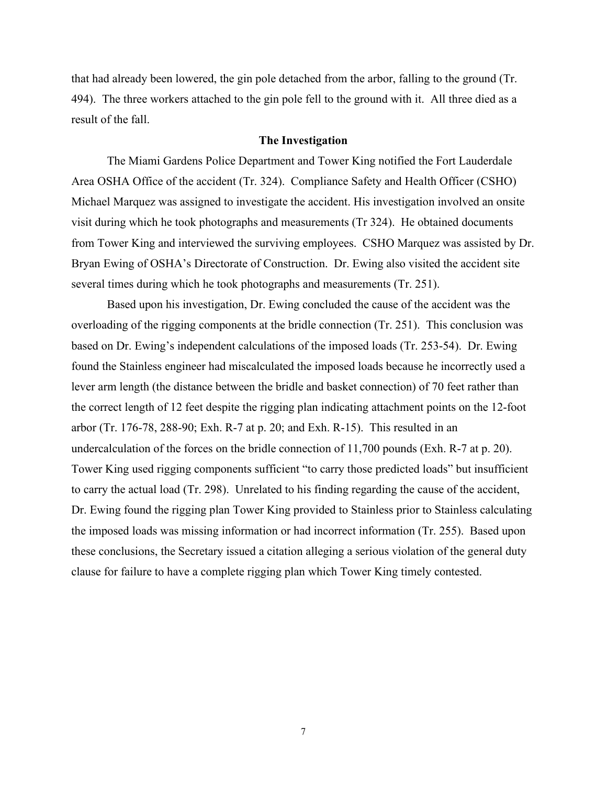that had already been lowered, the gin pole detached from the arbor, falling to the ground (Tr. 494). The three workers attached to the gin pole fell to the ground with it. All three died as a result of the fall.

#### **The Investigation**

The Miami Gardens Police Department and Tower King notified the Fort Lauderdale Area OSHA Office of the accident (Tr. 324). Compliance Safety and Health Officer (CSHO) Michael Marquez was assigned to investigate the accident. His investigation involved an onsite visit during which he took photographs and measurements (Tr 324). He obtained documents from Tower King and interviewed the surviving employees. CSHO Marquez was assisted by Dr. Bryan Ewing of OSHA's Directorate of Construction. Dr. Ewing also visited the accident site several times during which he took photographs and measurements (Tr. 251).

 Based upon his investigation, Dr. Ewing concluded the cause of the accident was the overloading of the rigging components at the bridle connection (Tr. 251). This conclusion was based on Dr. Ewing's independent calculations of the imposed loads (Tr. 253-54). Dr. Ewing found the Stainless engineer had miscalculated the imposed loads because he incorrectly used a lever arm length (the distance between the bridle and basket connection) of 70 feet rather than the correct length of 12 feet despite the rigging plan indicating attachment points on the 12-foot arbor (Tr. 176-78, 288-90; Exh. R-7 at p. 20; and Exh. R-15). This resulted in an undercalculation of the forces on the bridle connection of 11,700 pounds (Exh. R-7 at p. 20). Tower King used rigging components sufficient "to carry those predicted loads" but insufficient to carry the actual load (Tr. 298). Unrelated to his finding regarding the cause of the accident, Dr. Ewing found the rigging plan Tower King provided to Stainless prior to Stainless calculating the imposed loads was missing information or had incorrect information (Tr. 255). Based upon these conclusions, the Secretary issued a citation alleging a serious violation of the general duty clause for failure to have a complete rigging plan which Tower King timely contested.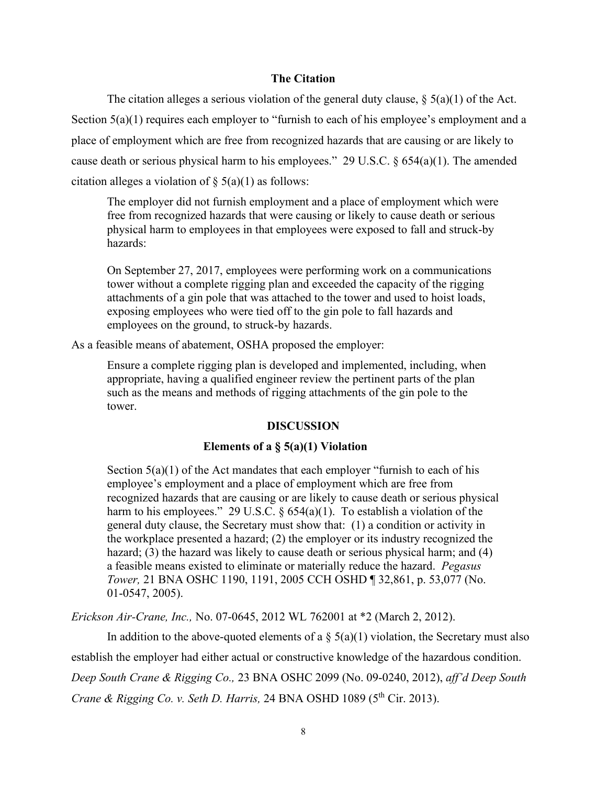## **The Citation**

The citation alleges a serious violation of the general duty clause,  $\S(5(a)(1))$  of the Act. Section 5(a)(1) requires each employer to "furnish to each of his employee's employment and a place of employment which are free from recognized hazards that are causing or are likely to cause death or serious physical harm to his employees." 29 U.S.C. § 654(a)(1). The amended citation alleges a violation of  $\S$  5(a)(1) as follows:

The employer did not furnish employment and a place of employment which were free from recognized hazards that were causing or likely to cause death or serious physical harm to employees in that employees were exposed to fall and struck-by hazards:

On September 27, 2017, employees were performing work on a communications tower without a complete rigging plan and exceeded the capacity of the rigging attachments of a gin pole that was attached to the tower and used to hoist loads, exposing employees who were tied off to the gin pole to fall hazards and employees on the ground, to struck-by hazards.

As a feasible means of abatement, OSHA proposed the employer:

Ensure a complete rigging plan is developed and implemented, including, when appropriate, having a qualified engineer review the pertinent parts of the plan such as the means and methods of rigging attachments of the gin pole to the tower.

## **DISCUSSION**

#### **Elements of a § 5(a)(1) Violation**

Section  $5(a)(1)$  of the Act mandates that each employer "furnish to each of his employee's employment and a place of employment which are free from recognized hazards that are causing or are likely to cause death or serious physical harm to his employees." 29 U.S.C. § 654(a)(1). To establish a violation of the general duty clause, the Secretary must show that: (1) a condition or activity in the workplace presented a hazard; (2) the employer or its industry recognized the hazard; (3) the hazard was likely to cause death or serious physical harm; and (4) a feasible means existed to eliminate or materially reduce the hazard. *Pegasus Tower,* 21 BNA OSHC 1190, 1191, 2005 CCH OSHD ¶ 32,861, p. 53,077 (No. 01-0547, 2005).

*Erickson Air-Crane, Inc.,* No. 07-0645, 2012 WL 762001 at \*2 (March 2, 2012).

In addition to the above-quoted elements of a  $\S$  5(a)(1) violation, the Secretary must also establish the employer had either actual or constructive knowledge of the hazardous condition. *Deep South Crane & Rigging Co.,* 23 BNA OSHC 2099 (No. 09-0240, 2012), *aff'd Deep South Crane & Rigging Co. v. Seth D. Harris, 24 BNA OSHD 1089 (5<sup>th</sup> Cir. 2013).*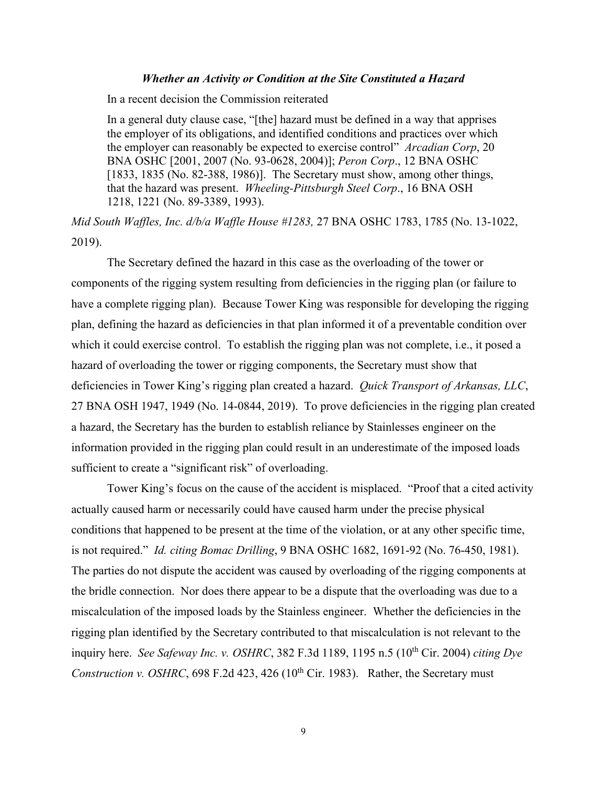### *Whether an Activity or Condition at the Site Constituted a Hazard*

In a recent decision the Commission reiterated

In a general duty clause case, "[the] hazard must be defined in a way that apprises the employer of its obligations, and identified conditions and practices over which the employer can reasonably be expected to exercise control" *Arcadian Corp*, 20 BNA OSHC [2001, 2007 (No. 93-0628, 2004)]; *Peron Corp*., 12 BNA OSHC [1833, 1835 (No. 82-388, 1986)]. The Secretary must show, among other things, that the hazard was present. *Wheeling-Pittsburgh Steel Corp*., 16 BNA OSH 1218, 1221 (No. 89-3389, 1993).

*Mid South Waffles, Inc. d/b/a Waffle House #1283,* 27 BNA OSHC 1783, 1785 (No. 13-1022, 2019).

 The Secretary defined the hazard in this case as the overloading of the tower or components of the rigging system resulting from deficiencies in the rigging plan (or failure to have a complete rigging plan). Because Tower King was responsible for developing the rigging plan, defining the hazard as deficiencies in that plan informed it of a preventable condition over which it could exercise control. To establish the rigging plan was not complete, i.e., it posed a hazard of overloading the tower or rigging components, the Secretary must show that deficiencies in Tower King's rigging plan created a hazard. *Quick Transport of Arkansas, LLC*, 27 BNA OSH 1947, 1949 (No. 14-0844, 2019). To prove deficiencies in the rigging plan created a hazard, the Secretary has the burden to establish reliance by Stainlesses engineer on the information provided in the rigging plan could result in an underestimate of the imposed loads sufficient to create a "significant risk" of overloading.

 Tower King's focus on the cause of the accident is misplaced. "Proof that a cited activity actually caused harm or necessarily could have caused harm under the precise physical conditions that happened to be present at the time of the violation, or at any other specific time, is not required." *Id. citing Bomac Drilling*, 9 BNA OSHC 1682, 1691-92 (No. 76-450, 1981). The parties do not dispute the accident was caused by overloading of the rigging components at the bridle connection. Nor does there appear to be a dispute that the overloading was due to a miscalculation of the imposed loads by the Stainless engineer. Whether the deficiencies in the rigging plan identified by the Secretary contributed to that miscalculation is not relevant to the inquiry here. *See Safeway Inc. v. OSHRC*, 382 F.3d 1189, 1195 n.5 (10th Cir. 2004) *citing Dye Construction v. OSHRC*, 698 F.2d 423, 426 ( $10^{th}$  Cir. 1983). Rather, the Secretary must

9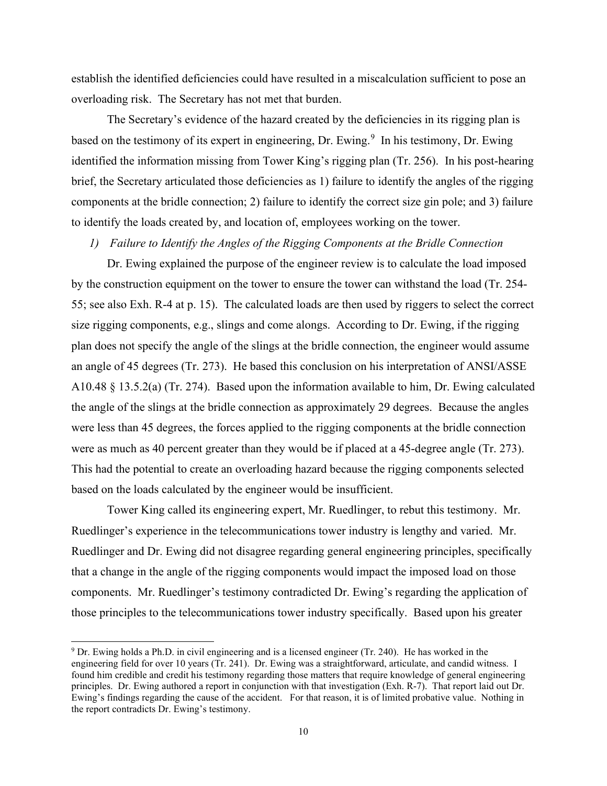establish the identified deficiencies could have resulted in a miscalculation sufficient to pose an overloading risk. The Secretary has not met that burden.

 The Secretary's evidence of the hazard created by the deficiencies in its rigging plan is based on the testimony of its expert in engineering, Dr. Ewing.<sup>[9](#page-9-0)</sup> In his testimony, Dr. Ewing identified the information missing from Tower King's rigging plan (Tr. 256). In his post-hearing brief, the Secretary articulated those deficiencies as 1) failure to identify the angles of the rigging components at the bridle connection; 2) failure to identify the correct size gin pole; and 3) failure to identify the loads created by, and location of, employees working on the tower.

*1) Failure to Identify the Angles of the Rigging Components at the Bridle Connection* 

 Dr. Ewing explained the purpose of the engineer review is to calculate the load imposed by the construction equipment on the tower to ensure the tower can withstand the load (Tr. 254- 55; see also Exh. R-4 at p. 15). The calculated loads are then used by riggers to select the correct size rigging components, e.g., slings and come alongs. According to Dr. Ewing, if the rigging plan does not specify the angle of the slings at the bridle connection, the engineer would assume an angle of 45 degrees (Tr. 273). He based this conclusion on his interpretation of ANSI/ASSE A10.48 § 13.5.2(a) (Tr. 274). Based upon the information available to him, Dr. Ewing calculated the angle of the slings at the bridle connection as approximately 29 degrees. Because the angles were less than 45 degrees, the forces applied to the rigging components at the bridle connection were as much as 40 percent greater than they would be if placed at a 45-degree angle (Tr. 273). This had the potential to create an overloading hazard because the rigging components selected based on the loads calculated by the engineer would be insufficient.

 Tower King called its engineering expert, Mr. Ruedlinger, to rebut this testimony. Mr. Ruedlinger's experience in the telecommunications tower industry is lengthy and varied. Mr. Ruedlinger and Dr. Ewing did not disagree regarding general engineering principles, specifically that a change in the angle of the rigging components would impact the imposed load on those components. Mr. Ruedlinger's testimony contradicted Dr. Ewing's regarding the application of those principles to the telecommunications tower industry specifically. Based upon his greater

<span id="page-9-0"></span><sup>9</sup> Dr. Ewing holds a Ph.D. in civil engineering and is a licensed engineer (Tr. 240). He has worked in the engineering field for over 10 years (Tr. 241). Dr. Ewing was a straightforward, articulate, and candid witness. I found him credible and credit his testimony regarding those matters that require knowledge of general engineering principles. Dr. Ewing authored a report in conjunction with that investigation (Exh. R-7). That report laid out Dr. Ewing's findings regarding the cause of the accident. For that reason, it is of limited probative value. Nothing in the report contradicts Dr. Ewing's testimony.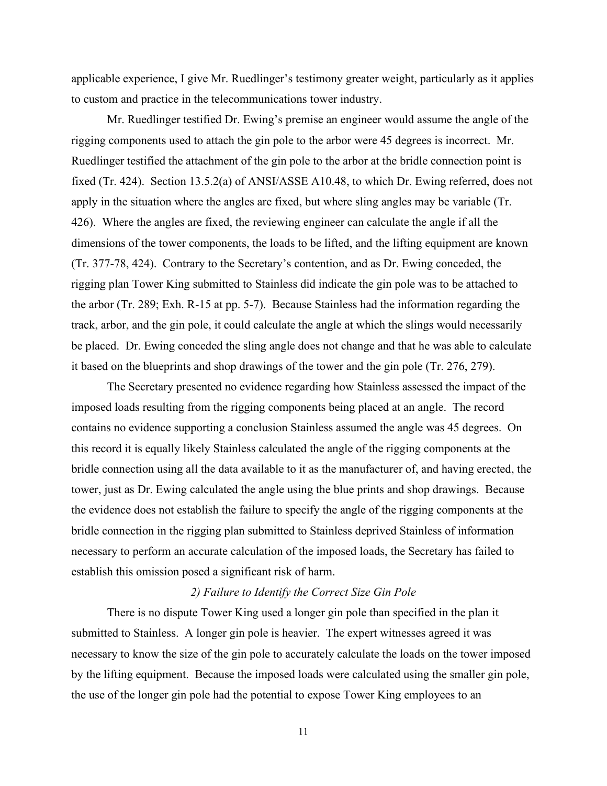applicable experience, I give Mr. Ruedlinger's testimony greater weight, particularly as it applies to custom and practice in the telecommunications tower industry.

 Mr. Ruedlinger testified Dr. Ewing's premise an engineer would assume the angle of the rigging components used to attach the gin pole to the arbor were 45 degrees is incorrect. Mr. Ruedlinger testified the attachment of the gin pole to the arbor at the bridle connection point is fixed (Tr. 424). Section 13.5.2(a) of ANSI/ASSE A10.48, to which Dr. Ewing referred, does not apply in the situation where the angles are fixed, but where sling angles may be variable (Tr. 426). Where the angles are fixed, the reviewing engineer can calculate the angle if all the dimensions of the tower components, the loads to be lifted, and the lifting equipment are known (Tr. 377-78, 424). Contrary to the Secretary's contention, and as Dr. Ewing conceded, the rigging plan Tower King submitted to Stainless did indicate the gin pole was to be attached to the arbor (Tr. 289; Exh. R-15 at pp. 5-7). Because Stainless had the information regarding the track, arbor, and the gin pole, it could calculate the angle at which the slings would necessarily be placed. Dr. Ewing conceded the sling angle does not change and that he was able to calculate it based on the blueprints and shop drawings of the tower and the gin pole (Tr. 276, 279).

The Secretary presented no evidence regarding how Stainless assessed the impact of the imposed loads resulting from the rigging components being placed at an angle. The record contains no evidence supporting a conclusion Stainless assumed the angle was 45 degrees. On this record it is equally likely Stainless calculated the angle of the rigging components at the bridle connection using all the data available to it as the manufacturer of, and having erected, the tower, just as Dr. Ewing calculated the angle using the blue prints and shop drawings. Because the evidence does not establish the failure to specify the angle of the rigging components at the bridle connection in the rigging plan submitted to Stainless deprived Stainless of information necessary to perform an accurate calculation of the imposed loads, the Secretary has failed to establish this omission posed a significant risk of harm.

### *2) Failure to Identify the Correct Size Gin Pole*

 There is no dispute Tower King used a longer gin pole than specified in the plan it submitted to Stainless. A longer gin pole is heavier. The expert witnesses agreed it was necessary to know the size of the gin pole to accurately calculate the loads on the tower imposed by the lifting equipment. Because the imposed loads were calculated using the smaller gin pole, the use of the longer gin pole had the potential to expose Tower King employees to an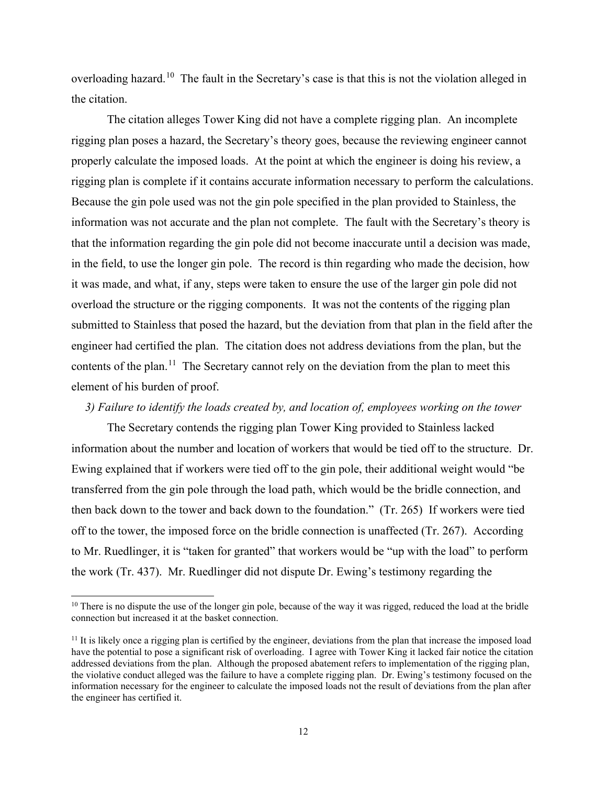overloading hazard.[10](#page-11-0) The fault in the Secretary's case is that this is not the violation alleged in the citation.

 The citation alleges Tower King did not have a complete rigging plan. An incomplete rigging plan poses a hazard, the Secretary's theory goes, because the reviewing engineer cannot properly calculate the imposed loads. At the point at which the engineer is doing his review, a rigging plan is complete if it contains accurate information necessary to perform the calculations. Because the gin pole used was not the gin pole specified in the plan provided to Stainless, the information was not accurate and the plan not complete. The fault with the Secretary's theory is that the information regarding the gin pole did not become inaccurate until a decision was made, in the field, to use the longer gin pole. The record is thin regarding who made the decision, how it was made, and what, if any, steps were taken to ensure the use of the larger gin pole did not overload the structure or the rigging components. It was not the contents of the rigging plan submitted to Stainless that posed the hazard, but the deviation from that plan in the field after the engineer had certified the plan. The citation does not address deviations from the plan, but the contents of the plan.<sup>11</sup> The Secretary cannot rely on the deviation from the plan to meet this element of his burden of proof.

## *3) Failure to identify the loads created by, and location of, employees working on the tower*

 The Secretary contends the rigging plan Tower King provided to Stainless lacked information about the number and location of workers that would be tied off to the structure. Dr. Ewing explained that if workers were tied off to the gin pole, their additional weight would "be transferred from the gin pole through the load path, which would be the bridle connection, and then back down to the tower and back down to the foundation." (Tr. 265) If workers were tied off to the tower, the imposed force on the bridle connection is unaffected (Tr. 267). According to Mr. Ruedlinger, it is "taken for granted" that workers would be "up with the load" to perform the work (Tr. 437). Mr. Ruedlinger did not dispute Dr. Ewing's testimony regarding the

<span id="page-11-0"></span><sup>&</sup>lt;sup>10</sup> There is no dispute the use of the longer gin pole, because of the way it was rigged, reduced the load at the bridle connection but increased it at the basket connection.

<span id="page-11-1"></span> $11$  It is likely once a rigging plan is certified by the engineer, deviations from the plan that increase the imposed load have the potential to pose a significant risk of overloading. I agree with Tower King it lacked fair notice the citation addressed deviations from the plan. Although the proposed abatement refers to implementation of the rigging plan, the violative conduct alleged was the failure to have a complete rigging plan. Dr. Ewing's testimony focused on the information necessary for the engineer to calculate the imposed loads not the result of deviations from the plan after the engineer has certified it.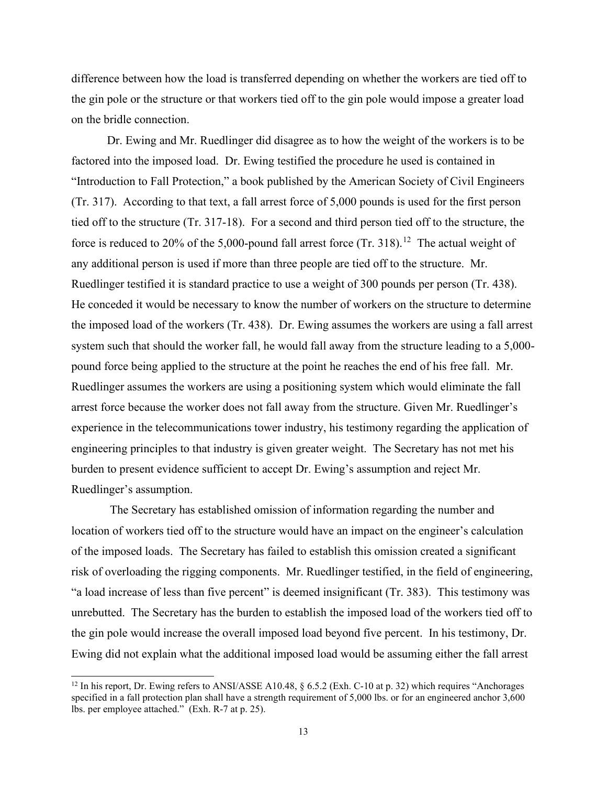difference between how the load is transferred depending on whether the workers are tied off to the gin pole or the structure or that workers tied off to the gin pole would impose a greater load on the bridle connection.

 Dr. Ewing and Mr. Ruedlinger did disagree as to how the weight of the workers is to be factored into the imposed load. Dr. Ewing testified the procedure he used is contained in "Introduction to Fall Protection," a book published by the American Society of Civil Engineers (Tr. 317). According to that text, a fall arrest force of 5,000 pounds is used for the first person tied off to the structure (Tr. 317-18). For a second and third person tied off to the structure, the force is reduced to 20% of the 5,000-pound fall arrest force  $(Tr. 318).$ <sup>12</sup> The actual weight of any additional person is used if more than three people are tied off to the structure. Mr. Ruedlinger testified it is standard practice to use a weight of 300 pounds per person (Tr. 438). He conceded it would be necessary to know the number of workers on the structure to determine the imposed load of the workers (Tr. 438). Dr. Ewing assumes the workers are using a fall arrest system such that should the worker fall, he would fall away from the structure leading to a 5,000 pound force being applied to the structure at the point he reaches the end of his free fall. Mr. Ruedlinger assumes the workers are using a positioning system which would eliminate the fall arrest force because the worker does not fall away from the structure. Given Mr. Ruedlinger's experience in the telecommunications tower industry, his testimony regarding the application of engineering principles to that industry is given greater weight. The Secretary has not met his burden to present evidence sufficient to accept Dr. Ewing's assumption and reject Mr. Ruedlinger's assumption.

 The Secretary has established omission of information regarding the number and location of workers tied off to the structure would have an impact on the engineer's calculation of the imposed loads. The Secretary has failed to establish this omission created a significant risk of overloading the rigging components. Mr. Ruedlinger testified, in the field of engineering, "a load increase of less than five percent" is deemed insignificant (Tr. 383). This testimony was unrebutted. The Secretary has the burden to establish the imposed load of the workers tied off to the gin pole would increase the overall imposed load beyond five percent. In his testimony, Dr. Ewing did not explain what the additional imposed load would be assuming either the fall arrest

<span id="page-12-0"></span><sup>&</sup>lt;sup>12</sup> In his report, Dr. Ewing refers to ANSI/ASSE A10.48,  $\frac{65.2}{2}$  (Exh. C-10 at p. 32) which requires "Anchorages" specified in a fall protection plan shall have a strength requirement of 5,000 lbs. or for an engineered anchor 3,600 lbs. per employee attached." (Exh. R-7 at p. 25).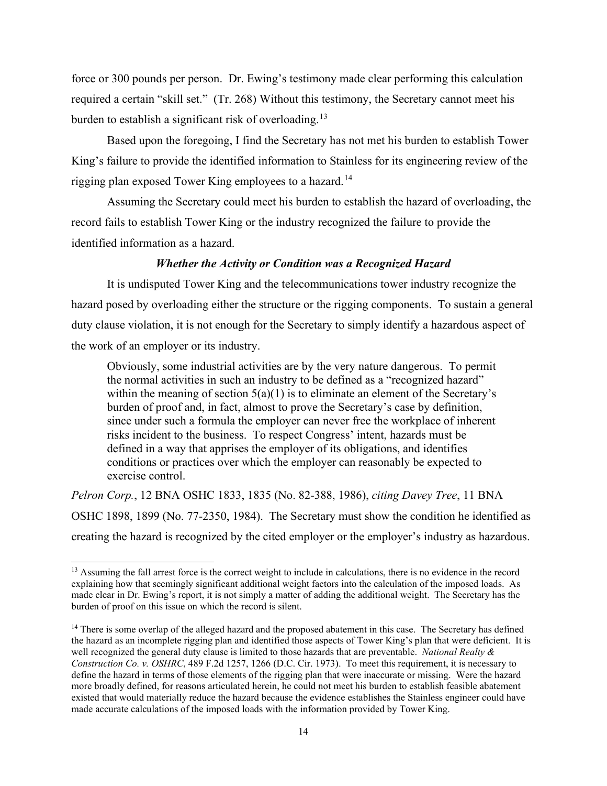force or 300 pounds per person. Dr. Ewing's testimony made clear performing this calculation required a certain "skill set." (Tr. 268) Without this testimony, the Secretary cannot meet his burden to establish a significant risk of overloading.<sup>[13](#page-13-0)</sup>

 Based upon the foregoing, I find the Secretary has not met his burden to establish Tower King's failure to provide the identified information to Stainless for its engineering review of the rigging plan exposed Tower King employees to a hazard.<sup>[14](#page-13-1)</sup>

Assuming the Secretary could meet his burden to establish the hazard of overloading, the record fails to establish Tower King or the industry recognized the failure to provide the identified information as a hazard.

## *Whether the Activity or Condition was a Recognized Hazard*

It is undisputed Tower King and the telecommunications tower industry recognize the hazard posed by overloading either the structure or the rigging components. To sustain a general duty clause violation, it is not enough for the Secretary to simply identify a hazardous aspect of the work of an employer or its industry.

Obviously, some industrial activities are by the very nature dangerous. To permit the normal activities in such an industry to be defined as a "recognized hazard" within the meaning of section  $5(a)(1)$  is to eliminate an element of the Secretary's burden of proof and, in fact, almost to prove the Secretary's case by definition, since under such a formula the employer can never free the workplace of inherent risks incident to the business. To respect Congress' intent, hazards must be defined in a way that apprises the employer of its obligations, and identifies conditions or practices over which the employer can reasonably be expected to exercise control.

*Pelron Corp.*, 12 BNA OSHC 1833, 1835 (No. 82-388, 1986), *citing Davey Tree*, 11 BNA OSHC 1898, 1899 (No. 77-2350, 1984). The Secretary must show the condition he identified as creating the hazard is recognized by the cited employer or the employer's industry as hazardous.

<span id="page-13-0"></span><sup>&</sup>lt;sup>13</sup> Assuming the fall arrest force is the correct weight to include in calculations, there is no evidence in the record explaining how that seemingly significant additional weight factors into the calculation of the imposed loads. As made clear in Dr. Ewing's report, it is not simply a matter of adding the additional weight. The Secretary has the burden of proof on this issue on which the record is silent.

<span id="page-13-1"></span><sup>&</sup>lt;sup>14</sup> There is some overlap of the alleged hazard and the proposed abatement in this case. The Secretary has defined the hazard as an incomplete rigging plan and identified those aspects of Tower King's plan that were deficient. It is well recognized the general duty clause is limited to those hazards that are preventable. *National Realty & Construction Co. v. OSHRC*, 489 F.2d 1257, 1266 (D.C. Cir. 1973). To meet this requirement, it is necessary to define the hazard in terms of those elements of the rigging plan that were inaccurate or missing. Were the hazard more broadly defined, for reasons articulated herein, he could not meet his burden to establish feasible abatement existed that would materially reduce the hazard because the evidence establishes the Stainless engineer could have made accurate calculations of the imposed loads with the information provided by Tower King.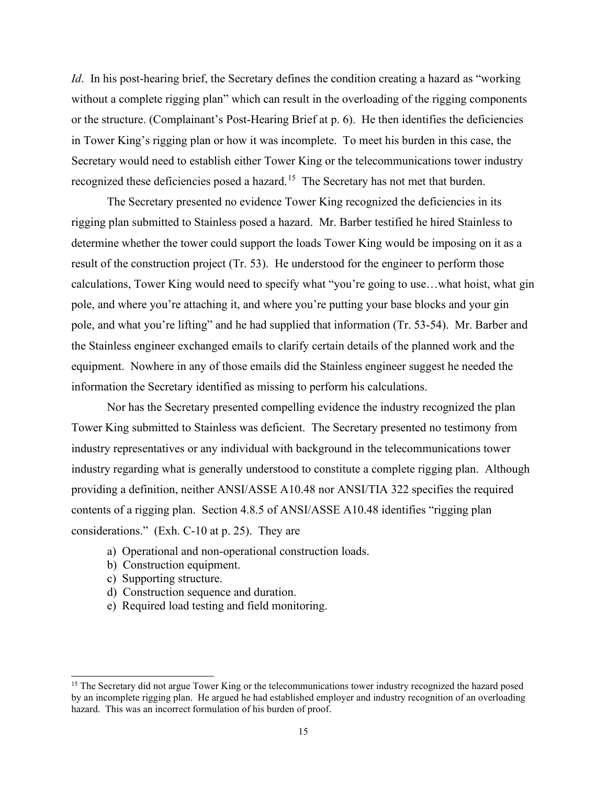*Id*. In his post-hearing brief, the Secretary defines the condition creating a hazard as "working" without a complete rigging plan" which can result in the overloading of the rigging components or the structure. (Complainant's Post-Hearing Brief at p. 6). He then identifies the deficiencies in Tower King's rigging plan or how it was incomplete. To meet his burden in this case, the Secretary would need to establish either Tower King or the telecommunications tower industry recognized these deficiencies posed a hazard.<sup>15</sup> The Secretary has not met that burden.

The Secretary presented no evidence Tower King recognized the deficiencies in its rigging plan submitted to Stainless posed a hazard. Mr. Barber testified he hired Stainless to determine whether the tower could support the loads Tower King would be imposing on it as a result of the construction project (Tr. 53). He understood for the engineer to perform those calculations, Tower King would need to specify what "you're going to use…what hoist, what gin pole, and where you're attaching it, and where you're putting your base blocks and your gin pole, and what you're lifting" and he had supplied that information (Tr. 53-54). Mr. Barber and the Stainless engineer exchanged emails to clarify certain details of the planned work and the equipment. Nowhere in any of those emails did the Stainless engineer suggest he needed the information the Secretary identified as missing to perform his calculations.

Nor has the Secretary presented compelling evidence the industry recognized the plan Tower King submitted to Stainless was deficient. The Secretary presented no testimony from industry representatives or any individual with background in the telecommunications tower industry regarding what is generally understood to constitute a complete rigging plan. Although providing a definition, neither ANSI/ASSE A10.48 nor ANSI/TIA 322 specifies the required contents of a rigging plan. Section 4.8.5 of ANSI/ASSE A10.48 identifies "rigging plan considerations." (Exh. C-10 at p. 25). They are

- a) Operational and non-operational construction loads.
- b) Construction equipment.
- c) Supporting structure.
- d) Construction sequence and duration.
- e) Required load testing and field monitoring.

<span id="page-14-0"></span><sup>&</sup>lt;sup>15</sup> The Secretary did not argue Tower King or the telecommunications tower industry recognized the hazard posed by an incomplete rigging plan. He argued he had established employer and industry recognition of an overloading hazard. This was an incorrect formulation of his burden of proof.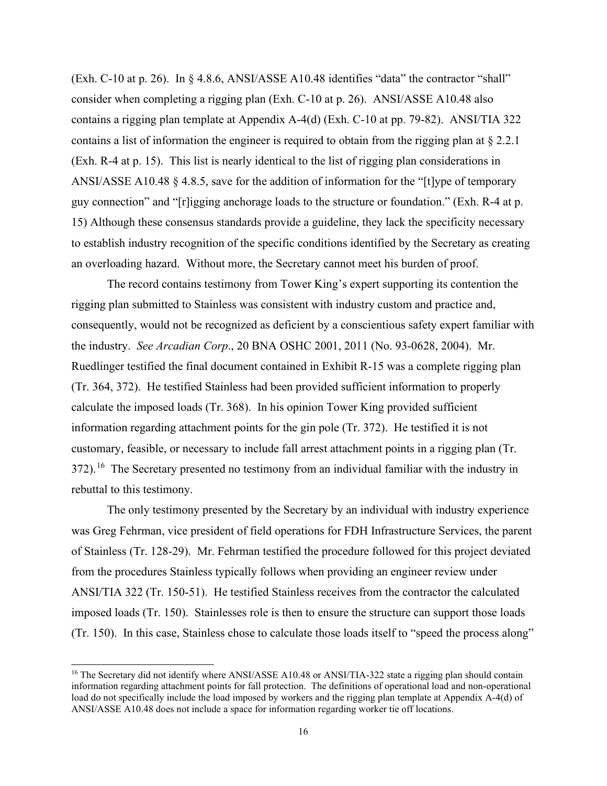(Exh. C-10 at p. 26). In § 4.8.6, ANSI/ASSE A10.48 identifies "data" the contractor "shall" consider when completing a rigging plan (Exh. C-10 at p. 26). ANSI/ASSE A10.48 also contains a rigging plan template at Appendix A-4(d) (Exh. C-10 at pp. 79-82). ANSI/TIA 322 contains a list of information the engineer is required to obtain from the rigging plan at § 2.2.1 (Exh. R-4 at p. 15). This list is nearly identical to the list of rigging plan considerations in ANSI/ASSE A10.48 § 4.8.5, save for the addition of information for the "[t]ype of temporary guy connection" and "[r]igging anchorage loads to the structure or foundation." (Exh. R-4 at p. 15) Although these consensus standards provide a guideline, they lack the specificity necessary to establish industry recognition of the specific conditions identified by the Secretary as creating an overloading hazard. Without more, the Secretary cannot meet his burden of proof.

 The record contains testimony from Tower King's expert supporting its contention the rigging plan submitted to Stainless was consistent with industry custom and practice and, consequently, would not be recognized as deficient by a conscientious safety expert familiar with the industry. *See Arcadian Corp*., 20 BNA OSHC 2001, 2011 (No. 93-0628, 2004). Mr. Ruedlinger testified the final document contained in Exhibit R-15 was a complete rigging plan (Tr. 364, 372). He testified Stainless had been provided sufficient information to properly calculate the imposed loads (Tr. 368). In his opinion Tower King provided sufficient information regarding attachment points for the gin pole (Tr. 372). He testified it is not customary, feasible, or necessary to include fall arrest attachment points in a rigging plan (Tr. 372).<sup>16</sup> The Secretary presented no testimony from an individual familiar with the industry in rebuttal to this testimony.

 The only testimony presented by the Secretary by an individual with industry experience was Greg Fehrman, vice president of field operations for FDH Infrastructure Services, the parent of Stainless (Tr. 128-29). Mr. Fehrman testified the procedure followed for this project deviated from the procedures Stainless typically follows when providing an engineer review under ANSI/TIA 322 (Tr. 150-51). He testified Stainless receives from the contractor the calculated imposed loads (Tr. 150). Stainlesses role is then to ensure the structure can support those loads (Tr. 150). In this case, Stainless chose to calculate those loads itself to "speed the process along"

<span id="page-15-0"></span><sup>&</sup>lt;sup>16</sup> The Secretary did not identify where ANSI/ASSE A10.48 or ANSI/TIA-322 state a rigging plan should contain information regarding attachment points for fall protection. The definitions of operational load and non-operational load do not specifically include the load imposed by workers and the rigging plan template at Appendix A-4(d) of ANSI/ASSE A10.48 does not include a space for information regarding worker tie off locations.